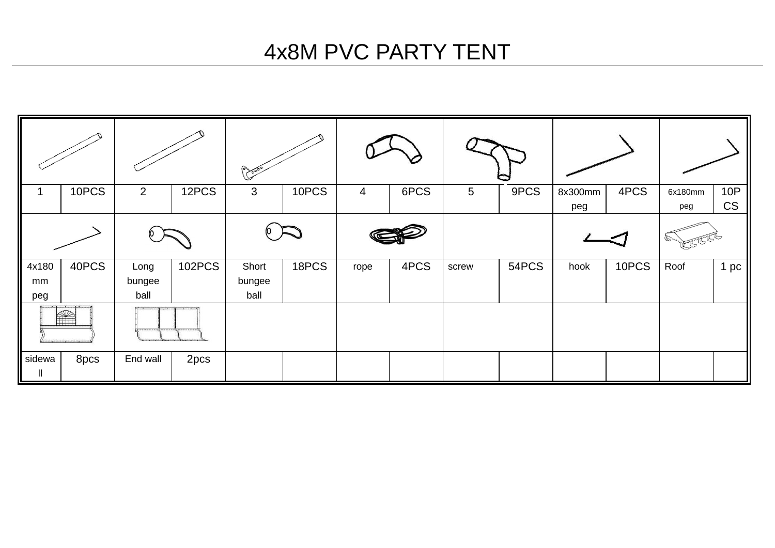### 4x8M PVC PARTY TENT

|                    |       |                                       |               | $\infty$                |       |      |      |                 |       |                |       |                |                         |  |
|--------------------|-------|---------------------------------------|---------------|-------------------------|-------|------|------|-----------------|-------|----------------|-------|----------------|-------------------------|--|
|                    | 10PCS | $\overline{2}$                        | 12PCS         | 3                       | 10PCS | 4    | 6PCS | $5\overline{)}$ | 9PCS  | 8x300mm<br>peg | 4PCS  | 6x180mm<br>peg | <b>10P</b><br><b>CS</b> |  |
|                    |       |                                       |               |                         |       |      |      |                 |       |                |       |                |                         |  |
| 4x180<br>mm<br>peg | 40PCS | Long<br>bungee<br>ball                | <b>102PCS</b> | Short<br>bungee<br>ball | 18PCS | rope | 4PCS | screw           | 54PCS | hook           | 10PCS | Roof           | 1pc                     |  |
| S                  |       | A PROGRAMMENT PLANE A PROGRAMMENT PRO |               |                         |       |      |      |                 |       |                |       |                |                         |  |
| sidewa<br>Ш        | 8pcs  | End wall                              | 2pcs          |                         |       |      |      |                 |       |                |       |                |                         |  |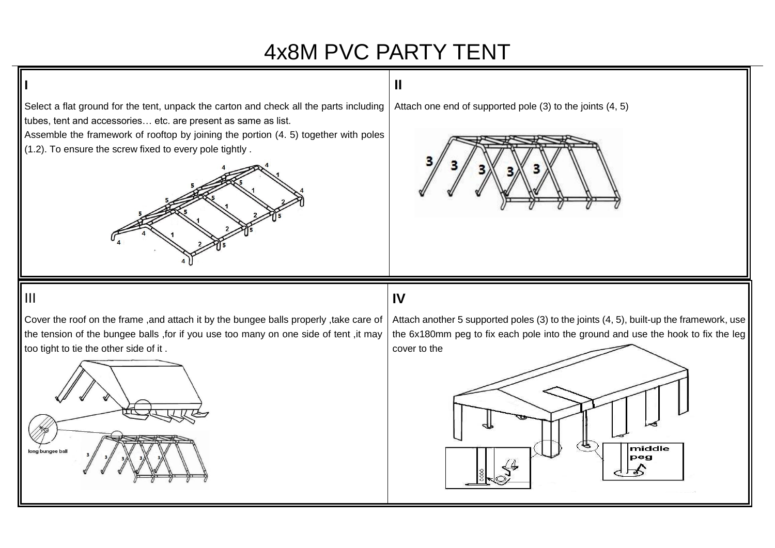## 4x8M PVC PARTY TENT

**II** 

Select a flat ground for the tent, unpack the carton and check all the parts including tubes, tent and accessories… etc. are present as same as list.

Assemble the framework of rooftop by joining the portion (4. 5) together with poles (1.2). To ensure the screw fixed to every pole tightly .



Attach one end of supported pole (3) to the joints (4, 5)



#### III

**I** 

Cover the roof on the frame ,and attach it by the bungee balls properly ,take care of the tension of the bungee balls ,for if you use too many on one side of tent ,it may too tight to tie the other side of it .

### **IV**

Attach another 5 supported poles (3) to the joints (4, 5), built-up the framework, use the 6x180mm peg to fix each pole into the ground and use the hook to fix the leg cover to the